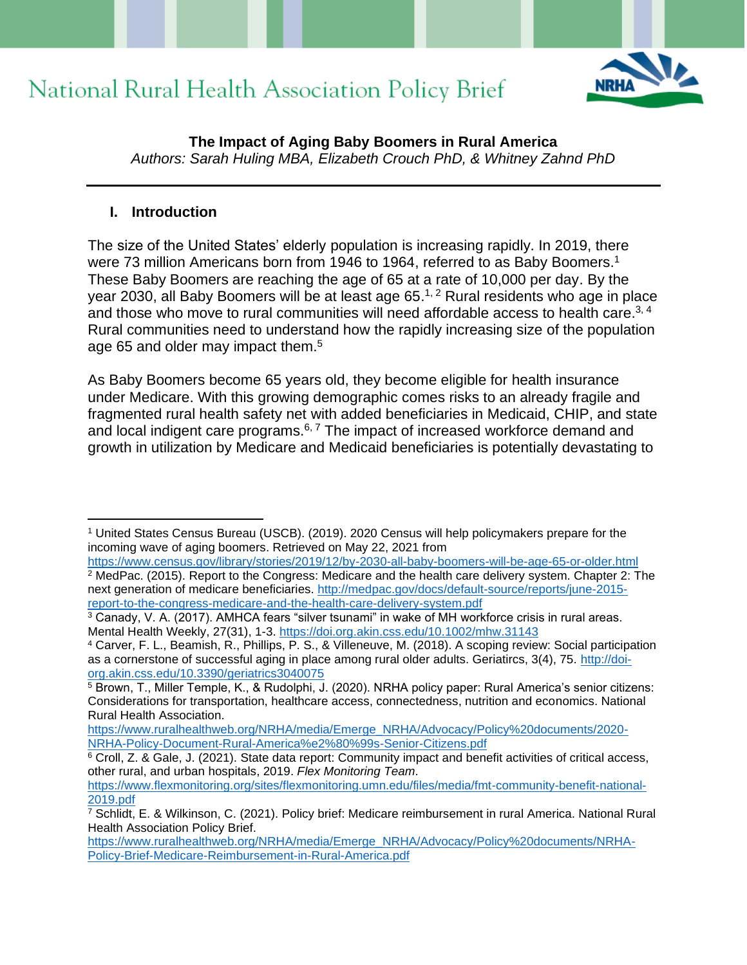

**The Impact of Aging Baby Boomers in Rural America** *Authors: Sarah Huling MBA, Elizabeth Crouch PhD, & Whitney Zahnd PhD*

#### **I. Introduction**

The size of the United States' elderly population is increasing rapidly. In 2019, there were 73 million Americans born from 1946 to 1964, referred to as Baby Boomers.<sup>1</sup> These Baby Boomers are reaching the age of 65 at a rate of 10,000 per day. By the year 2030, all Baby Boomers will be at least age 65.<sup>1, 2</sup> Rural residents who age in place and those who move to rural communities will need affordable access to health care.<sup>3, 4</sup> Rural communities need to understand how the rapidly increasing size of the population age 65 and older may impact them.<sup>5</sup>

As Baby Boomers become 65 years old, they become eligible for health insurance under Medicare. With this growing demographic comes risks to an already fragile and fragmented rural health safety net with added beneficiaries in Medicaid, CHIP, and state and local indigent care programs. $6, 7$  The impact of increased workforce demand and growth in utilization by Medicare and Medicaid beneficiaries is potentially devastating to

<sup>1</sup> United States Census Bureau (USCB). (2019). 2020 Census will help policymakers prepare for the incoming wave of aging boomers. Retrieved on May 22, 2021 from

<https://www.census.gov/library/stories/2019/12/by-2030-all-baby-boomers-will-be-age-65-or-older.html>  $2$  MedPac. (2015). Report to the Congress: Medicare and the health care delivery system. Chapter 2: The next generation of medicare beneficiaries. [http://medpac.gov/docs/default-source/reports/june-2015](http://medpac.gov/docs/default-source/reports/june-2015-report-to-the-congress-medicare-and-the-health-care-delivery-system.pdf) [report-to-the-congress-medicare-and-the-health-care-delivery-system.pdf](http://medpac.gov/docs/default-source/reports/june-2015-report-to-the-congress-medicare-and-the-health-care-delivery-system.pdf)

<sup>&</sup>lt;sup>3</sup> Canady, V. A. (2017). AMHCA fears "silver tsunami" in wake of MH workforce crisis in rural areas. Mental Health Weekly, 27(31), 1-3.<https://doi.org.akin.css.edu/10.1002/mhw.31143>

<sup>4</sup> Carver, F. L., Beamish, R., Phillips, P. S., & Villeneuve, M. (2018). A scoping review: Social participation as a cornerstone of successful aging in place among rural older adults. Geriatircs, 3(4), 75. [http://doi](http://doi-org.akin.css.edu/10.3390/geriatrics3040075)[org.akin.css.edu/10.3390/geriatrics3040075](http://doi-org.akin.css.edu/10.3390/geriatrics3040075)

<sup>5</sup> Brown, T., Miller Temple, K., & Rudolphi, J. (2020). NRHA policy paper: Rural America's senior citizens: Considerations for transportation, healthcare access, connectedness, nutrition and economics. National Rural Health Association.

[https://www.ruralhealthweb.org/NRHA/media/Emerge\\_NRHA/Advocacy/Policy%20documents/2020-](https://www.ruralhealthweb.org/NRHA/media/Emerge_NRHA/Advocacy/Policy%20documents/2020-NRHA-Policy-Document-Rural-America%e2%80%99s-Senior-Citizens.pdf) [NRHA-Policy-Document-Rural-America%e2%80%99s-Senior-Citizens.pdf](https://www.ruralhealthweb.org/NRHA/media/Emerge_NRHA/Advocacy/Policy%20documents/2020-NRHA-Policy-Document-Rural-America%e2%80%99s-Senior-Citizens.pdf)

<sup>6</sup> Croll, Z. & Gale, J. (2021). State data report: Community impact and benefit activities of critical access, other rural, and urban hospitals, 2019. *Flex Monitoring Team*.

[https://www.flexmonitoring.org/sites/flexmonitoring.umn.edu/files/media/fmt-community-benefit-national-](https://www.flexmonitoring.org/sites/flexmonitoring.umn.edu/files/media/fmt-community-benefit-national-2019.pdf)[2019.pdf](https://www.flexmonitoring.org/sites/flexmonitoring.umn.edu/files/media/fmt-community-benefit-national-2019.pdf)

<sup>7</sup> Schlidt, E. & Wilkinson, C. (2021). Policy brief: Medicare reimbursement in rural America. National Rural Health Association Policy Brief.

[https://www.ruralhealthweb.org/NRHA/media/Emerge\\_NRHA/Advocacy/Policy%20documents/NRHA-](https://www.ruralhealthweb.org/NRHA/media/Emerge_NRHA/Advocacy/Policy%20documents/NRHA-Policy-Brief-Medicare-Reimbursement-in-Rural-America.pdf)[Policy-Brief-Medicare-Reimbursement-in-Rural-America.pdf](https://www.ruralhealthweb.org/NRHA/media/Emerge_NRHA/Advocacy/Policy%20documents/NRHA-Policy-Brief-Medicare-Reimbursement-in-Rural-America.pdf)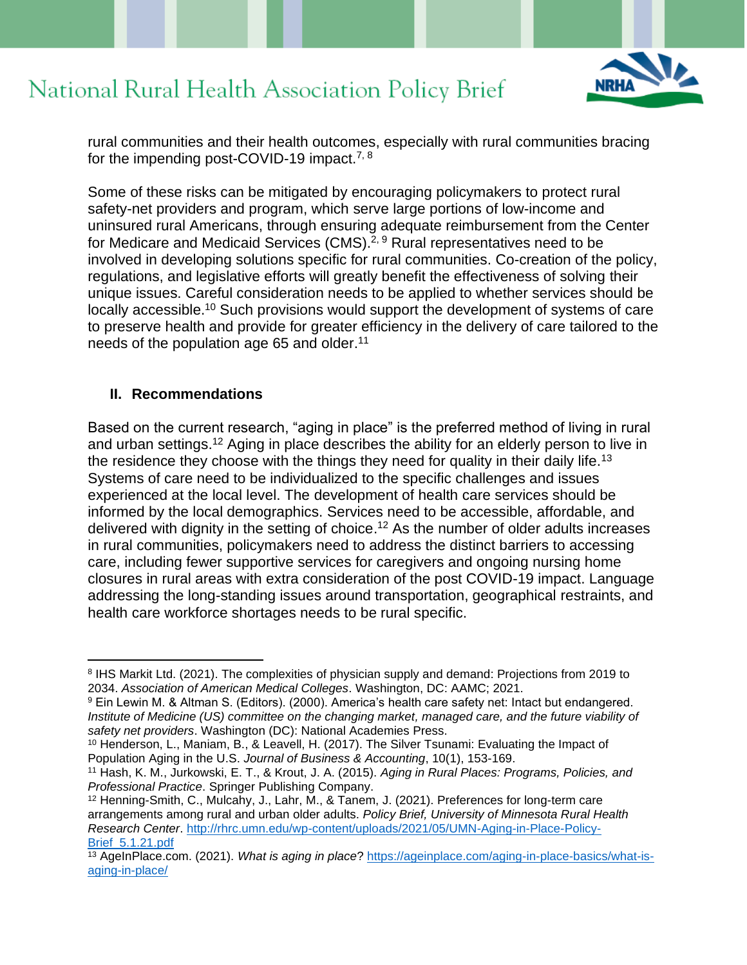

rural communities and their health outcomes, especially with rural communities bracing for the impending post-COVID-19 impact.<sup>7, 8</sup>

Some of these risks can be mitigated by encouraging policymakers to protect rural safety-net providers and program, which serve large portions of low-income and uninsured rural Americans, through ensuring adequate reimbursement from the Center for Medicare and Medicaid Services (CMS).<sup>2, 9</sup> Rural representatives need to be involved in developing solutions specific for rural communities. Co-creation of the policy, regulations, and legislative efforts will greatly benefit the effectiveness of solving their unique issues. Careful consideration needs to be applied to whether services should be locally accessible.<sup>10</sup> Such provisions would support the development of systems of care to preserve health and provide for greater efficiency in the delivery of care tailored to the needs of the population age 65 and older.<sup>11</sup>

#### **II. Recommendations**

Based on the current research, "aging in place" is the preferred method of living in rural and urban settings.<sup>12</sup> Aging in place describes the ability for an elderly person to live in the residence they choose with the things they need for quality in their daily life.<sup>13</sup> Systems of care need to be individualized to the specific challenges and issues experienced at the local level. The development of health care services should be informed by the local demographics. Services need to be accessible, affordable, and delivered with dignity in the setting of choice.<sup>12</sup> As the number of older adults increases in rural communities, policymakers need to address the distinct barriers to accessing care, including fewer supportive services for caregivers and ongoing nursing home closures in rural areas with extra consideration of the post COVID-19 impact. Language addressing the long-standing issues around transportation, geographical restraints, and health care workforce shortages needs to be rural specific.

<sup>&</sup>lt;sup>8</sup> IHS Markit Ltd. (2021). The complexities of physician supply and demand: Projections from 2019 to 2034. *Association of American Medical Colleges*. Washington, DC: AAMC; 2021.

<sup>9</sup> Ein Lewin M. & Altman S. (Editors). (2000). America's health care safety net: Intact but endangered. *Institute of Medicine (US) committee on the changing market, managed care, and the future viability of safety net providers*. Washington (DC): National Academies Press.

<sup>&</sup>lt;sup>10</sup> Henderson, L., Maniam, B., & Leavell, H. (2017). The Silver Tsunami: Evaluating the Impact of Population Aging in the U.S. *Journal of Business & Accounting*, 10(1), 153-169.

<sup>11</sup> Hash, K. M., Jurkowski, E. T., & Krout, J. A. (2015). *Aging in Rural Places: Programs, Policies, and Professional Practice*. Springer Publishing Company.

<sup>12</sup> Henning-Smith, C., Mulcahy, J., Lahr, M., & Tanem, J. (2021). Preferences for long-term care arrangements among rural and urban older adults. *Policy Brief, University of Minnesota Rural Health Research Center*. [http://rhrc.umn.edu/wp-content/uploads/2021/05/UMN-Aging-in-Place-Policy-](http://rhrc.umn.edu/wp-content/uploads/2021/05/UMN-Aging-in-Place-Policy-Brief_5.1.21.pdf)[Brief\\_5.1.21.pdf](http://rhrc.umn.edu/wp-content/uploads/2021/05/UMN-Aging-in-Place-Policy-Brief_5.1.21.pdf)

<sup>13</sup> AgeInPlace.com. (2021). *What is aging in place*? [https://ageinplace.com/aging-in-place-basics/what-is](https://ageinplace.com/aging-in-place-basics/what-is-aging-in-place/)[aging-in-place/](https://ageinplace.com/aging-in-place-basics/what-is-aging-in-place/)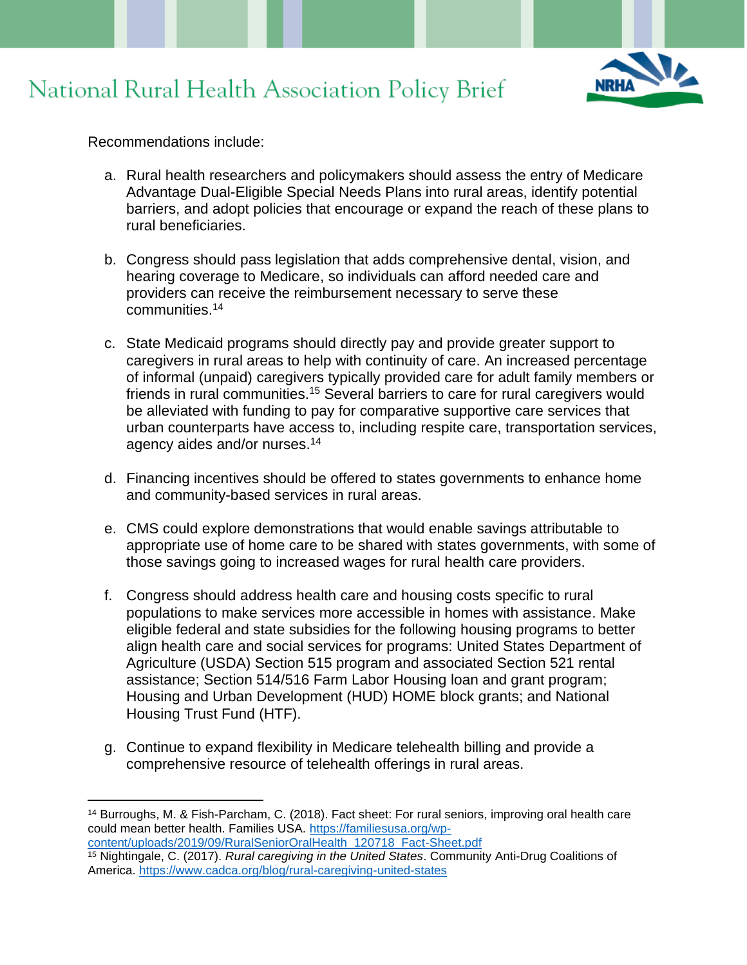

Recommendations include:

- a. Rural health researchers and policymakers should assess the entry of Medicare Advantage Dual-Eligible Special Needs Plans into rural areas, identify potential barriers, and adopt policies that encourage or expand the reach of these plans to rural beneficiaries.
- b. Congress should pass legislation that adds comprehensive dental, vision, and hearing coverage to Medicare, so individuals can afford needed care and providers can receive the reimbursement necessary to serve these communities.<sup>14</sup>
- c. State Medicaid programs should directly pay and provide greater support to caregivers in rural areas to help with continuity of care. An increased percentage of informal (unpaid) caregivers typically provided care for adult family members or friends in rural communities.<sup>15</sup> Several barriers to care for rural caregivers would be alleviated with funding to pay for comparative supportive care services that urban counterparts have access to, including respite care, transportation services, agency aides and/or nurses.<sup>14</sup>
- d. Financing incentives should be offered to states governments to enhance home and community-based services in rural areas.
- e. CMS could explore demonstrations that would enable savings attributable to appropriate use of home care to be shared with states governments, with some of those savings going to increased wages for rural health care providers.
- f. Congress should address health care and housing costs specific to rural populations to make services more accessible in homes with assistance. Make eligible federal and state subsidies for the following housing programs to better align health care and social services for programs: United States Department of Agriculture (USDA) Section 515 program and associated Section 521 rental assistance; Section 514/516 Farm Labor Housing loan and grant program; Housing and Urban Development (HUD) HOME block grants; and National Housing Trust Fund (HTF).
- g. Continue to expand flexibility in Medicare telehealth billing and provide a comprehensive resource of telehealth offerings in rural areas.

<sup>14</sup> Burroughs, M. & Fish-Parcham, C. (2018). Fact sheet: For rural seniors, improving oral health care could mean better health. Families USA. [https://familiesusa.org/wp](https://familiesusa.org/wp-content/uploads/2019/09/RuralSeniorOralHealth_120718_Fact-Sheet.pdf)[content/uploads/2019/09/RuralSeniorOralHealth\\_120718\\_Fact-Sheet.pdf](https://familiesusa.org/wp-content/uploads/2019/09/RuralSeniorOralHealth_120718_Fact-Sheet.pdf)

<sup>15</sup> Nightingale, C. (2017). *Rural caregiving in the United States*. Community Anti-Drug Coalitions of America.<https://www.cadca.org/blog/rural-caregiving-united-states>